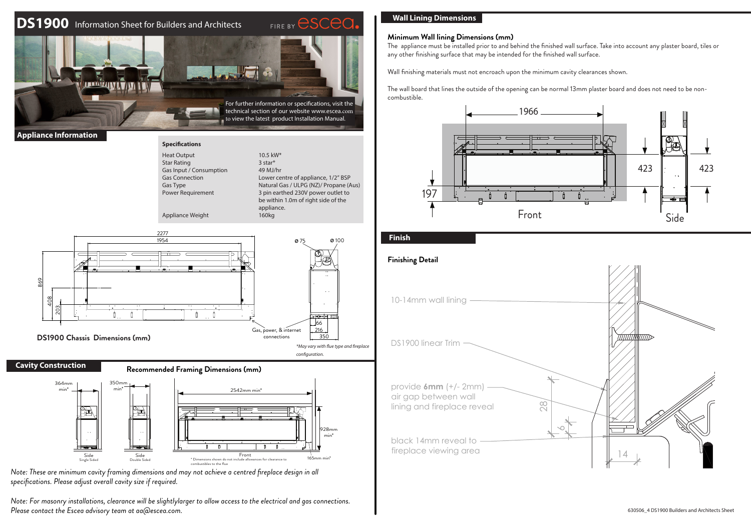# **DS1900** Information Sheet for Builders and Architects



### **Appliance Information**

### **Specifications** Heat Output 10.5 kW\*<br>Star Rating 10.5 kW\* Star Rating 3 star\* 3 star\* 3 star\* 3 star\* 3 star 49 MJ/hr Gas Input / Consumption<br>Gas Connection

Appliance Weight

Gas Connection Lower centre of appliance, 1/2" BSP<br>Gas Type Cas Type Cases Natural Gas / ULPG (NZ)/ Propane (A Gas Type  $N$  Natural Gas / ULPG (NZ)/ Propane (Aus)<br>
Power Requirement 3 pin earthed 230V power outlet to 3 pin earthed 230V power outlet to be within 1.0m of right side of the appliance.<br>160kg



### **Cavity Construction**

**Recommended Framing Dimensions (mm)**



*Note: These are minimum cavity framing dimensions and may not achieve a centred fireplace design in all specifications. Please adjust overall cavity size if required.*

630506\_4 DS1900 Builders and Architects Sheet 630506\_4 DS1900 Builders and Architects Sheet *Please contact the Escea advisory team at aa@escea.com.Note: For masonry installations, clearance will be slightlylarger to allow access to the electrical and gas connections.* 

## **Wall Lining Dimensions**

### **Minimum Wall lining Dimensions (mm)**

The appliance must be installed prior to and behind the finished wall surface. Take into account any plaster board, tiles or any other finishing surface that may be intended for the finished wall surface.

Wall finishing materials must not encroach upon the minimum cavity clearances shown.

The wall board that lines the outside of the opening can be normal 13mm plaster board and does not need to be noncombustible.



### **Finish**